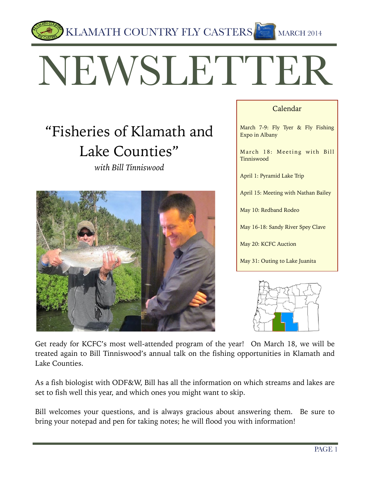

# NEWSLETTER

## "Fisheries of Klamath and Lake Counties"





#### Calendar

March 7-9: Fly Tyer & Fly Fishing Expo in Albany

March 18: Meeting with Bill Tinniswood

April 1: Pyramid Lake Trip

April 15: Meeting with Nathan Bailey

May 10: Redband Rodeo

May 16-18: Sandy River Spey Clave

May 20: KCFC Auction

May 31: Outing to Lake Juanita



Get ready for KCFC's most well-attended program of the year! On March 18, we will be treated again to Bill Tinniswood's annual talk on the fishing opportunities in Klamath and Lake Counties.

As a fish biologist with ODF&W, Bill has all the information on which streams and lakes are set to fish well this year, and which ones you might want to skip.

Bill welcomes your questions, and is always gracious about answering them. Be sure to bring your notepad and pen for taking notes; he will flood you with information!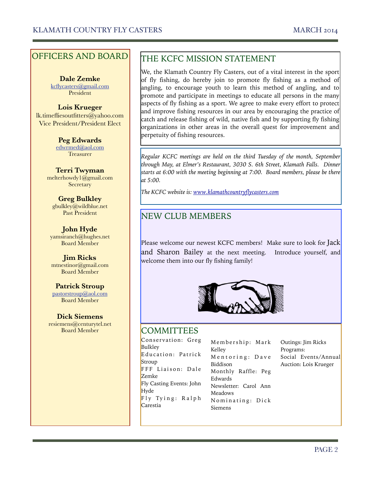#### OFFICERS AND BOARD

**Dale Zemke**  kcflycasters@gmail.com President

#### **Lois Krueger** lk.timefliesoutfitters@yahoo.com Vice President/President Elect

**Peg Edwards**  edwrmed@aol.com Treasurer

**Terri Twyman**  melterhowdy1@gmail.com **Secretary** 

**Greg Bulkley**  gbulkley@wildblue.net Past President

**John Hyde**  yamsiranch@hughes.net Board Member

**Jim Ricks** mtnestinor@gmail.com Board Member

**Patrick Stroup**  pastorstroup@aol.com Board Member

**Dick Siemens**  resiemens@centurytel.net Board Member

#### THE KCFC MISSION STATEMENT

We, the Klamath Country Fly Casters, out of a vital interest in the sport of fly fishing, do hereby join to promote fly fishing as a method of angling, to encourage youth to learn this method of angling, and to promote and participate in meetings to educate all persons in the many aspects of fly fishing as a sport. We agree to make every effort to protect and improve fishing resources in our area by encouraging the practice of catch and release fishing of wild, native fish and by supporting fly fishing organizations in other areas in the overall quest for improvement and perpetuity of fishing resources.

*Regular KCFC meetings are held on the third Tuesday of the month, September through May, at Elmer's Restaurant, 3030 S. 6th Street, Klamath Falls. Dinner starts at 6:00 with the meeting beginning at 7:00. Board members, please be there at 5:00.* 

*The KCFC website is: www.klamathcountryflycasters.com*

#### NEW CLUB MEMBERS

Please welcome our newest KCFC members! Make sure to look for Jack and Sharon Bailey at the next meeting. Introduce yourself, and welcome them into our fly fishing family!



#### **COMMITTEES**

Conservation: Greg Bulkley Education: Patrick Stroup FFF Liaison: Dale Zemke Fly Casting Events: John Hyde  $Fly$  Tying: Ralph Carestia

Membership: Mark Kelley Mentoring: Dave Biddison Monthly Raffle: Peg Edwards Newsletter: Carol Ann Meadows Nominating: Dick Siemens

Outings: Jim Ricks Programs: Social Events/Annual Auction: Lois Krueger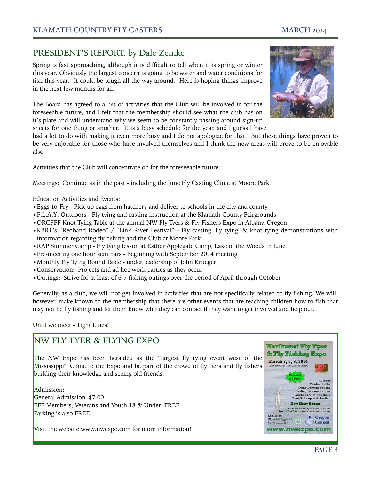w.nwexpo.com

**Tying Demonstrations Casting Demonstrations<br>Auctions & Raffles Daily<br>enefit Banquet & Auction New Show Hours:** 

**Northwest Fly Tyer** 

### PRESIDENT'S REPORT, by Dale Zemke

Spring is fast approaching, although it is difficult to tell when it is spring or winter this year. Obviously the largest concern is going to be water and water conditions for fish this year. It could be tough all the way around. Here is hoping things improve in the next few months for all.

The Board has agreed to a list of activities that the Club will be involved in for the foreseeable future, and I felt that the membership should see what the club has on it's plate and will understand why we seem to be constantly passing around sign-up sheets for one thing or another. It is a busy schedule for the year, and I guess I have

had a lot to do with making it even more busy and I do not apologize for that. But these things have proven to

be very enjoyable for those who have involved themselves and I think the new areas will prove to be enjoyable also.

Activities that the Club will concentrate on for the foreseeable future:

Meetings: Continue as in the past - including the June Fly Casting Clinic at Moore Park

Education Activities and Events:

- •Eggs-to-Fry Pick up eggs from hatchery and deliver to schools in the city and county
- •P.L.A.Y. Outdoors Fly tying and casting instruction at the Klamath County Fairgrounds
- •ORCFFF Knot Tying Table at the annual NW Fly Tyers & Fly Fishers Expo in Albany, Oregon
- •KBRT's "Redband Rodeo" / "Link River Festival" Fly casting, fly tying, & knot tying demonstrations with information regarding fly fishing and the Club at Moore Park
- •RAP Summer Camp Fly tying lesson at Esther Applegate Camp, Lake of the Woods in June
- •Pre-meeting one hour seminars Beginning with September 2014 meeting
- •Monthly Fly Tying Round Table under leadership of John Krueger
- •Conservation: Projects and ad hoc work parties as they occur
- •Outings: Strive for at least of 6-7 fishing outings over the period of April through October

Generally, as a club, we will not get involved in activities that are not specifically related to fly fishing. We will, however, make known to the membership that there are other events that are teaching children how to fish that may not be fly fishing and let them know who they can contact if they want to get involved and help out.

#### Until we meet - Tight Lines!

## NW FLY TYER & FLYING EXPO

& Fly Fishing E The NW Expo has been heralded as the "largest fly tying event west of the March 7, 8, 9, 2014 Mississippi". Come to the Expo and be part of the crowd of fly tiers and fly fishers building their knowledge and seeing old friends.

Admission: General Admission: \$7.00 FFF Members, Veterans and Youth 18 & Under: FREE Parking is also FREE

Visit the website www.nwexpo.com for more information!



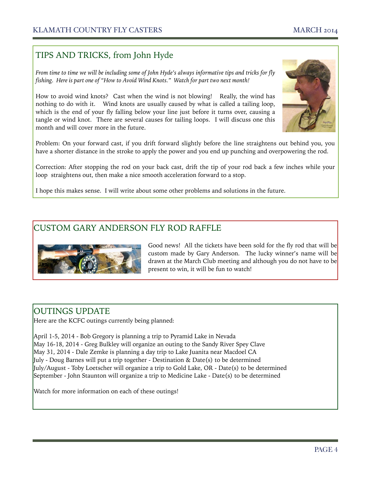#### TIPS AND TRICKS, from John Hyde

*From time to time we will be including some of John Hyde's always informative tips and tricks for fly fishing. Here is part one of "How to Avoid Wind Knots." Watch for part two next month!* 

How to avoid wind knots? Cast when the wind is not blowing! Really, the wind has nothing to do with it. Wind knots are usually caused by what is called a tailing loop, which is the end of your fly falling below your line just before it turns over, causing a tangle or wind knot. There are several causes for tailing loops. I will discuss one this month and will cover more in the future.



Problem: On your forward cast, if you drift forward slightly before the line straightens out behind you, you have a shorter distance in the stroke to apply the power and you end up punching and overpowering the rod.

Correction: After stopping the rod on your back cast, drift the tip of your rod back a few inches while your loop straightens out, then make a nice smooth acceleration forward to a stop.

I hope this makes sense. I will write about some other problems and solutions in the future.

#### CUSTOM GARY ANDERSON FLY ROD RAFFLE



Good news! All the tickets have been sold for the fly rod that will be custom made by Gary Anderson. The lucky winner's name will be drawn at the March Club meeting and although you do not have to be present to win, it will be fun to watch!

#### OUTINGS UPDATE

Here are the KCFC outings currently being planned:

April 1-5, 2014 - Bob Gregory is planning a trip to Pyramid Lake in Nevada May 16-18, 2014 - Greg Bulkley will organize an outing to the Sandy River Spey Clave May 31, 2014 - Dale Zemke is planning a day trip to Lake Juanita near Macdoel CA July - Doug Barnes will put a trip together - Destination & Date(s) to be determined July/August - Toby Loetscher will organize a trip to Gold Lake, OR - Date(s) to be determined September - John Staunton will organize a trip to Medicine Lake - Date(s) to be determined

Watch for more information on each of these outings!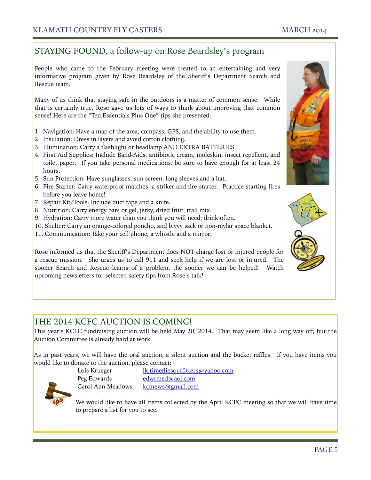#### STAYING FOUND, a follow-up on Rose Beardsley's program

People who came to the February meeting were treated to an entertaining and very informative program given by Rose Beardsley of the Sheriff's Department Search and Rescue team.

Many of us think that staying safe in the outdoors is a matter of common sense. While that is certainly true, Rose gave us lots of ways to think about improving that common sense! Here are the "Ten Essentials Plus One" tips she presented:

- 1. Navigation: Have a map of the area, compass, GPS, and the ability to use them.
- 2. Insulation: Dress in layers and avoid cotton clothing.
- 3. Illumination: Carry a flashlight or headlamp AND EXTRA BATTERIES.
- 4. First Aid Supplies: Include Band-Aids, antibiotic cream, moleskin, insect repellent, and toilet paper. If you take personal medications, be sure to have enough for at least 24 hours.
- 5. Sun Protection: Have sunglasses, sun screen, long sleeves and a hat.
- 6. Fire Starter: Carry waterproof matches, a striker and fire starter. Practice starting fires before you leave home!
- 7. Repair Kit/Tools: Include duct tape and a knife.
- 8. Nutrition: Carry energy bars or gel, jerky, dried fruit, trail mix.
- 9. Hydration: Carry more water than you think you will need; drink often.
- 10. Shelter: Carry an orange-colored poncho, and bivvy sack or non-mylar space blanket.
- 11. Communication: Take your cell phone, a whistle and a mirror.

Rose informed us that the Sheriff's Department does NOT charge lost or injured people for a rescue mission. She urges us to call 911 and seek help if we are lost or injured. The sooner Search and Rescue learns of a problem, the sooner we can be helped! Watch upcoming newsletters for selected safety tips from Rose's talk!

#### THE 2014 KCFC AUCTION IS COMING!

This year's KCFC fundraising auction will be held May 20, 2014. That may seem like a long way off, but the Auction Committee is already hard at work.

As in past years, we will have the oral auction, a silent auction and the bucket raffles. If you have items you would like to donate to the auction, please contact:



 Lois Krueger lk.timefliesoutfitters@yahoo.com Peg Edwards edwrmed@aol.com Carol Ann Meadows kcfnews@gmail.com

We would like to have all items collected by the April KCFC meeting so that we will have time to prepare a list for you to see.



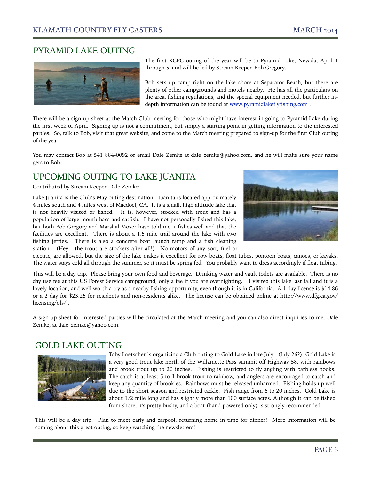#### PYRAMID LAKE OUTING



The first KCFC outing of the year will be to Pyramid Lake, Nevada, April 1 through 5, and will be led by Stream Keeper, Bob Gregory.

Bob sets up camp right on the lake shore at Separator Beach, but there are plenty of other campgrounds and motels nearby. He has all the particulars on the area, fishing regulations, and the special equipment needed, but further indepth information can be found at www.pyramidlakeflyfishing.com .

There will be a sign-up sheet at the March Club meeting for those who might have interest in going to Pyramid Lake during the first week of April. Signing up is not a commitment, but simply a starting point in getting information to the interested parties. So, talk to Bob, visit that great website, and come to the March meeting prepared to sign-up for the first Club outing of the year.

You may contact Bob at 541 884-0092 or email Dale Zemke at dale zemke@yahoo.com, and he will make sure your name gets to Bob.

#### UPCOMING OUTING TO LAKE JUANITA

Contributed by Stream Keeper, Dale Zemke:

Lake Juanita is the Club's May outing destination. Juanita is located approximately 4 miles south and 4 miles west of Macdoel, CA. It is a small, high altitude lake that is not heavily visited or fished. It is, however, stocked with trout and has a population of large mouth bass and catfish. I have not personally fished this lake, but both Bob Gregory and Marshal Moser have told me it fishes well and that the facilities are excellent. There is about a 1.5 mile trail around the lake with two fishing jetties. There is also a concrete boat launch ramp and a fish cleaning station. (Hey - the trout are stockers after all!) No motors of any sort, fuel or



electric, are allowed, but the size of the lake makes it excellent for row boats, float tubes, pontoon boats, canoes, or kayaks. The water stays cold all through the summer, so it must be spring fed. You probably want to dress accordingly if float tubing.

This will be a day trip. Please bring your own food and beverage. Drinking water and vault toilets are available. There is no day use fee at this US Forest Service campground, only a fee if you are overnighting. I visited this lake last fall and it is a lovely location, and well worth a try as a nearby fishing opportunity, even though it is in California. A 1 day license is \$14.86 or a 2 day for \$23.25 for residents and non-residents alike. The license can be obtained online at http://www.dfg.ca.gov/ licensing/ols/ .

A sign-up sheet for interested parties will be circulated at the March meeting and you can also direct inquiries to me, Dale Zemke, at dale\_zemke@yahoo.com.

#### GOLD LAKE OUTING



Toby Loetscher is organizing a Club outing to Gold Lake in late July. (July 26?) Gold Lake is a very good trout lake north of the Willamette Pass summit off Highway 58, with rainbows and brook trout up to 20 inches. Fishing is restricted to fly angling with barbless hooks. The catch is at least 5 to 1 brook trout to rainbow, and anglers are encouraged to catch and keep any quantity of brookies. Rainbows must be released unharmed. Fishing holds up well due to the short season and restricted tackle. Fish range from 6 to 20 inches. Gold Lake is about 1/2 mile long and has slightly more than 100 surface acres. Although it can be fished from shore, it's pretty bushy, and a boat (hand-powered only) is strongly recommended.

This will be a day trip. Plan to meet early and carpool, returning home in time for dinner! More information will be coming about this great outing, so keep watching the newsletters!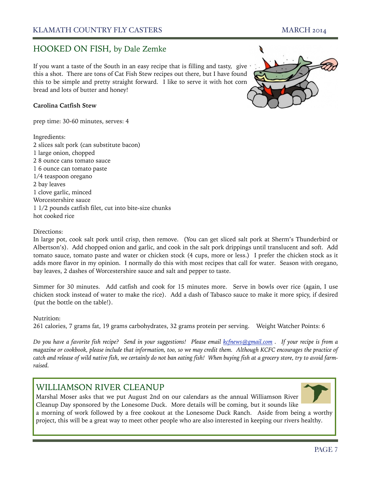#### HOOKED ON FISH, by Dale Zemke

If you want a taste of the South in an easy recipe that is filling and tasty, give this a shot. There are tons of Cat Fish Stew recipes out there, but I have found this to be simple and pretty straight forward. I like to serve it with hot corn bread and lots of butter and honey!

#### **Carolina Catfish Stew**

prep time: 30-60 minutes, serves: 4

Ingredients: 2 slices salt pork (can substitute bacon) 1 large onion, chopped 2 8 ounce cans tomato sauce 1 6 ounce can tomato paste 1/4 teaspoon oregano 2 bay leaves 1 clove garlic, minced Worcestershire sauce 1 1/2 pounds catfish filet, cut into bite-size chunks hot cooked rice



In large pot, cook salt pork until crisp, then remove. (You can get sliced salt pork at Sherm's Thunderbird or Albertson's). Add chopped onion and garlic, and cook in the salt pork drippings until translucent and soft. Add tomato sauce, tomato paste and water or chicken stock (4 cups, more or less.) I prefer the chicken stock as it adds more flavor in my opinion. I normally do this with most recipes that call for water. Season with oregano, bay leaves, 2 dashes of Worcestershire sauce and salt and pepper to taste.

Simmer for 30 minutes. Add catfish and cook for 15 minutes more. Serve in bowls over rice (again, I use chicken stock instead of water to make the rice). Add a dash of Tabasco sauce to make it more spicy, if desired (put the bottle on the table!).

Nutrition:

261 calories, 7 grams fat, 19 grams carbohydrates, 32 grams protein per serving. Weight Watcher Points: 6

*Do you have a favorite fish recipe? Send in your suggestions! Please email kcfnews@gmail.com . If your recipe is from a magazine or cookbook, please include that information, too, so we may credit them. Although KCFC encourages the practice of catch and release of wild native fish, we certainly do not ban eating fish! When buying fish at a grocery store, try to avoid farmraised.*

#### WILLIAMSON RIVER CLEANUP

Marshal Moser asks that we put August 2nd on our calendars as the annual Williamson River Cleanup Day sponsored by the Lonesome Duck. More details will be coming, but it sounds like a morning of work followed by a free cookout at the Lonesome Duck Ranch. Aside from being a worthy project, this will be a great way to meet other people who are also interested in keeping our rivers healthy.

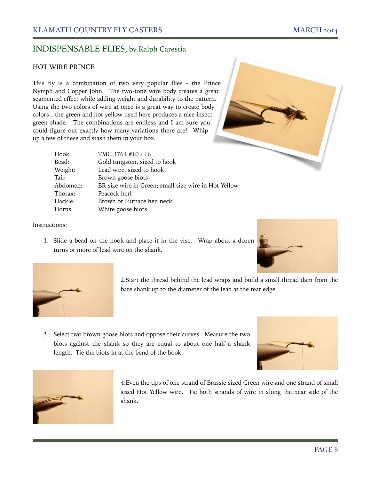#### HOT WIRE PRINCE

This fly is a combination of two very popular flies - the Prince Nymph and Copper John. The two-tone wire body creates a great segmented effect while adding weight and durability to the pattern. Using the two colors of wire at once is a great way to create body colors…the green and hot yellow used here produces a nice insect green shade. The combinations are endless and I am sure you could figure out exactly how many variations there are! Whip up a few of these and stash them in your box.

| Hook:    | TMC 3761 #10 - 16                                    |
|----------|------------------------------------------------------|
| Bead:    | Gold tungsten, sized to hook                         |
| Weight:  | Lead wire, sized to hook                             |
| Tail:    | Brown goose biots                                    |
| Abdomen: | BR size wire in Green; small size wire in Hot Yellow |
| Thorax:  | Peacock herl                                         |
| Hackle:  | Brown or Furnace hen neck                            |
| Horns:   | White goose biots                                    |
|          |                                                      |

#### Instructions:

1. Slide a bead on the hook and place it in the vise. Wrap about a dozen turns or more of lead wire on the shank.





2.Start the thread behind the lead wraps and build a small thread dam from the bare shank up to the diameter of the lead at the rear edge.

3. Select two brown goose biots and oppose their curves. Measure the two biots against the shank so they are equal to about one half a shank length. Tie the biots in at the bend of the hook.





4.Even the tips of one strand of Brassie sized Green wire and one strand of small sized Hot Yellow wire. Tie both strands of wire in along the near side of the shank.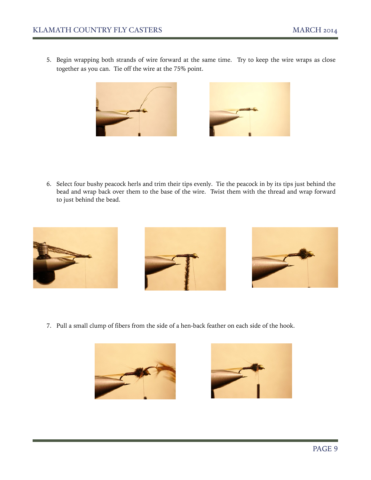5. Begin wrapping both strands of wire forward at the same time. Try to keep the wire wraps as close together as you can. Tie off the wire at the 75% point.





6. Select four bushy peacock herls and trim their tips evenly. Tie the peacock in by its tips just behind the bead and wrap back over them to the base of the wire. Twist them with the thread and wrap forward to just behind the bead.



7. Pull a small clump of fibers from the side of a hen-back feather on each side of the hook.



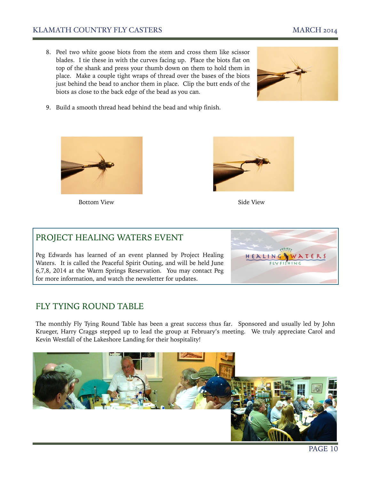#### KLAMATH COUNTRY FLY CASTERS MARCH 2014

8. Peel two white goose biots from the stem and cross them like scissor blades. I tie these in with the curves facing up. Place the biots flat on top of the shank and press your thumb down on them to hold them in place. Make a couple tight wraps of thread over the bases of the biots just behind the bead to anchor them in place. Clip the butt ends of the biots as close to the back edge of the bead as you can.



9. Build a smooth thread head behind the bead and whip finish.



Bottom View Side View Side View Side View Side View Side View Side View Side View Side View Side View Side View Side View Side View Side View Side View Side View Side View Side View Side View Side View Side View Side View



HEALIN

#### PROJECT HEALING WATERS EVENT

Peg Edwards has learned of an event planned by Project Healing Waters. It is called the Peaceful Spirit Outing, and will be held June 6,7,8, 2014 at the Warm Springs Reservation. You may contact Peg for more information, and watch the newsletter for updates.

#### FLY TYING ROUND TABLE

The monthly Fly Tying Round Table has been a great success thus far. Sponsored and usually led by John Krueger, Harry Craggs stepped up to lead the group at February's meeting. We truly appreciate Carol and Kevin Westfall of the Lakeshore Landing for their hospitality!